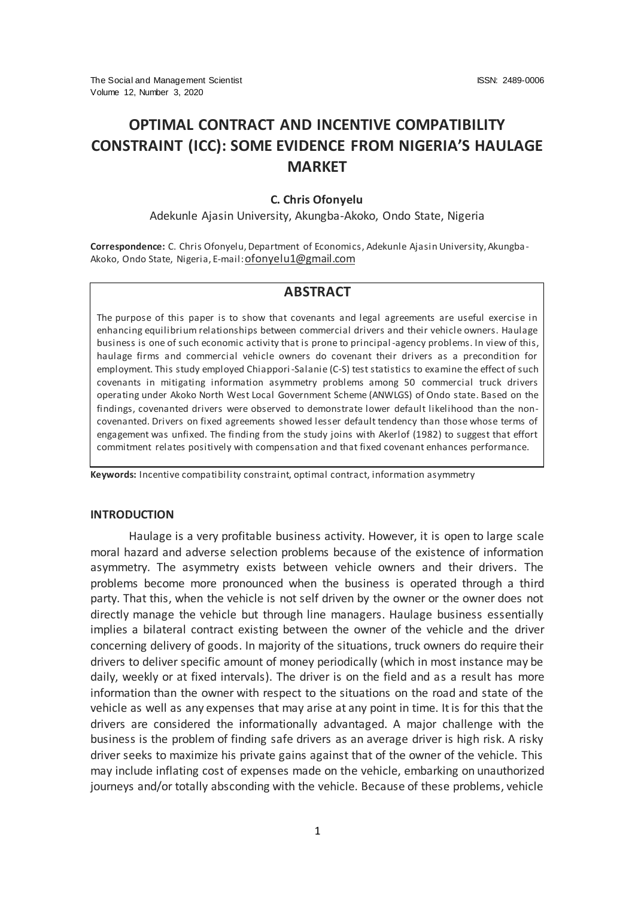# **OPTIMAL CONTRACT AND INCENTIVE COMPATIBILITY CONSTRAINT (ICC): SOME EVIDENCE FROM NIGERIA'S HAULAGE MARKET**

#### **C. Chris Ofonyelu**

Adekunle Ajasin University, Akungba-Akoko, Ondo State, Nigeria

**Correspondence:** C. Chris Ofonyelu, Department of Economics, Adekunle Ajasin University, Akungba-Akoko, Ondo State, Nigeria, E-mail: [ofonyelu1@gmail.com](mailto:ofonyelu1@gmail.com)

## **ABSTRACT**

The purpose of this paper is to show that covenants and legal agreements are useful exercise in enhancing equilibrium relationships between commercial drivers and their vehicle owners. Haulage business is one of such economic activity that is prone to principal -agency problems. In view of this, haulage firms and commercial vehicle owners do covenant their drivers as a precondition for employment. This study employed Chiappori-Salanie (C-S) test statistics to examine the effect of such covenants in mitigating information asymmetry problems among 50 commercial truck drivers operating under Akoko North West Local Government Scheme (ANWLGS) of Ondo state. Based on the findings, covenanted drivers were observed to demonstrate lower default likelihood than the noncovenanted. Drivers on fixed agreements showed lesser default tendency than those whose terms of engagement was unfixed. The finding from the study joins with Akerlof (1982) to suggest that effort commitment relates positively with compensation and that fixed covenant enhances performance.

**Keywords:** Incentive compatibility constraint, optimal contract, information asymmetry

#### **INTRODUCTION**

Haulage is a very profitable business activity. However, it is open to large scale moral hazard and adverse selection problems because of the existence of information asymmetry. The asymmetry exists between vehicle owners and their drivers. The problems become more pronounced when the business is operated through a third party. That this, when the vehicle is not self driven by the owner or the owner does not directly manage the vehicle but through line managers. Haulage business essentially implies a bilateral contract existing between the owner of the vehicle and the driver concerning delivery of goods. In majority of the situations, truck owners do require their drivers to deliver specific amount of money periodically (which in most instance may be daily, weekly or at fixed intervals). The driver is on the field and as a result has more information than the owner with respect to the situations on the road and state of the vehicle as well as any expenses that may arise at any point in time. It is for this that the drivers are considered the informationally advantaged. A major challenge with the business is the problem of finding safe drivers as an average driver is high risk. A risky driver seeks to maximize his private gains against that of the owner of the vehicle. This may include inflating cost of expenses made on the vehicle, embarking on unauthorized journeys and/or totally absconding with the vehicle. Because of these problems, vehicle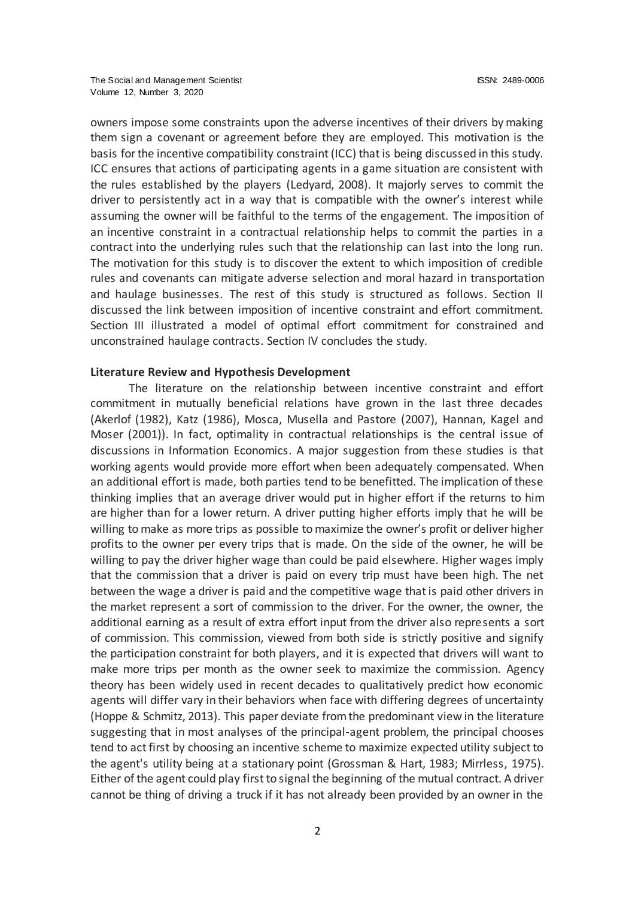owners impose some constraints upon the adverse incentives of their drivers by making them sign a covenant or agreement before they are employed. This motivation is the basis for the incentive compatibility constraint (ICC) that is being discussed in this study. ICC ensures that actions of participating agents in a game situation are consistent with the rules established by the players (Ledyard, 2008). It majorly serves to commit the driver to persistently act in a way that is compatible with the owner's interest while assuming the owner will be faithful to the terms of the engagement. The imposition of an incentive constraint in a contractual relationship helps to commit the parties in a contract into the underlying rules such that the relationship can last into the long run. The motivation for this study is to discover the extent to which imposition of credible rules and covenants can mitigate adverse selection and moral hazard in transportation and haulage businesses. The rest of this study is structured as follows. Section II discussed the link between imposition of incentive constraint and effort commitment. Section III illustrated a model of optimal effort commitment for constrained and unconstrained haulage contracts. Section IV concludes the study.

## **Literature Review and Hypothesis Development**

The literature on the relationship between incentive constraint and effort commitment in mutually beneficial relations have grown in the last three decades (Akerlof (1982), Katz (1986), Mosca, Musella and Pastore (2007), Hannan, Kagel and Moser (2001)). In fact, optimality in contractual relationships is the central issue of discussions in Information Economics. A major suggestion from these studies is that working agents would provide more effort when been adequately compensated. When an additional effort is made, both parties tend to be benefitted. The implication of these thinking implies that an average driver would put in higher effort if the returns to him are higher than for a lower return. A driver putting higher efforts imply that he will be willing to make as more trips as possible to maximize the owner's profit or deliver higher profits to the owner per every trips that is made. On the side of the owner, he will be willing to pay the driver higher wage than could be paid elsewhere. Higher wages imply that the commission that a driver is paid on every trip must have been high. The net between the wage a driver is paid and the competitive wage that is paid other drivers in the market represent a sort of commission to the driver. For the owner, the owner, the additional earning as a result of extra effort input from the driver also represents a sort of commission. This commission, viewed from both side is strictly positive and signify the participation constraint for both players, and it is expected that drivers will want to make more trips per month as the owner seek to maximize the commission. Agency theory has been widely used in recent decades to qualitatively predict how economic agents will differ vary in their behaviors when face with differing degrees of uncertainty (Hoppe & Schmitz, 2013). This paper deviate from the predominant view in the literature suggesting that in most analyses of the principal-agent problem, the principal chooses tend to act first by choosing an incentive scheme to maximize expected utility subject to the agent's utility being at a stationary point (Grossman & Hart, 1983; Mirrless, 1975). Either of the agent could play first to signal the beginning of the mutual contract. A driver cannot be thing of driving a truck if it has not already been provided by an owner in the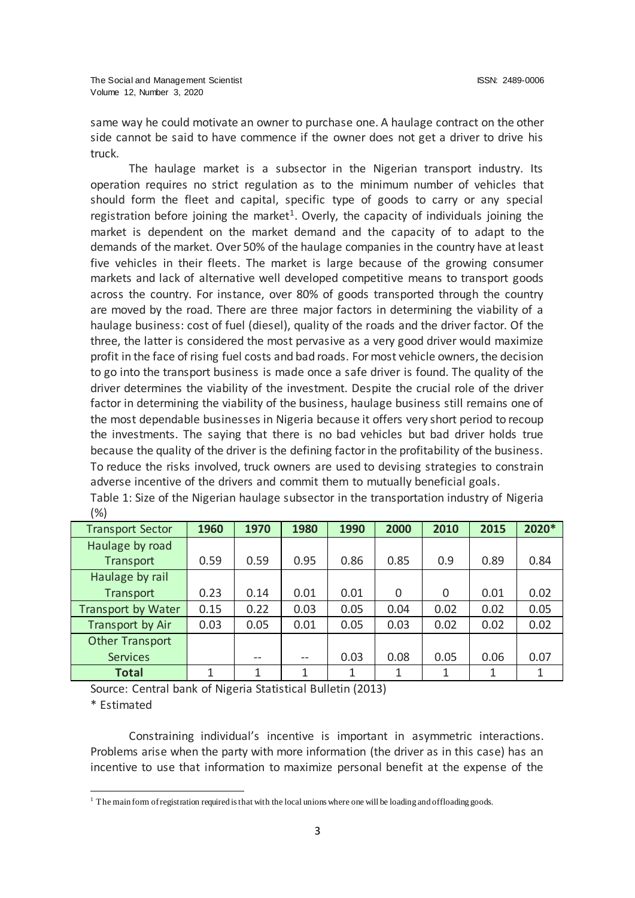same way he could motivate an owner to purchase one. A haulage contract on the other side cannot be said to have commence if the owner does not get a driver to drive his truck.

The haulage market is a subsector in the Nigerian transport industry. Its operation requires no strict regulation as to the minimum number of vehicles that should form the fleet and capital, specific type of goods to carry or any special registration before joining the market<sup>1</sup>. Overly, the capacity of individuals joining the market is dependent on the market demand and the capacity of to adapt to the demands of the market. Over 50% of the haulage companies in the country have at least five vehicles in their fleets. The market is large because of the growing consumer markets and lack of alternative well developed competitive means to transport goods across the country. For instance, over 80% of goods transported through the country are moved by the road. There are three major factors in determining the viability of a haulage business: cost of fuel (diesel), quality of the roads and the driver factor. Of the three, the latter is considered the most pervasive as a very good driver would maximize profit in the face of rising fuel costs and bad roads. For most vehicle owners, the decision to go into the transport business is made once a safe driver is found. The quality of the driver determines the viability of the investment. Despite the crucial role of the driver factor in determining the viability of the business, haulage business still remains one of the most dependable businesses in Nigeria because it offers very short period to recoup the investments. The saying that there is no bad vehicles but bad driver holds true because the quality of the driver is the defining factor in the profitability of the business. To reduce the risks involved, truck owners are used to devising strategies to constrain adverse incentive of the drivers and commit them to mutually beneficial goals.

| <b>Transport Sector</b> | 1960 | 1970 | 1980 | 1990 | 2000     | 2010     | 2015 | 2020* |
|-------------------------|------|------|------|------|----------|----------|------|-------|
| Haulage by road         |      |      |      |      |          |          |      |       |
| Transport               | 0.59 | 0.59 | 0.95 | 0.86 | 0.85     | 0.9      | 0.89 | 0.84  |
| Haulage by rail         |      |      |      |      |          |          |      |       |
| Transport               | 0.23 | 0.14 | 0.01 | 0.01 | $\Omega$ | $\Omega$ | 0.01 | 0.02  |
| Transport by Water      | 0.15 | 0.22 | 0.03 | 0.05 | 0.04     | 0.02     | 0.02 | 0.05  |
| Transport by Air        | 0.03 | 0.05 | 0.01 | 0.05 | 0.03     | 0.02     | 0.02 | 0.02  |
| <b>Other Transport</b>  |      |      |      |      |          |          |      |       |
| <b>Services</b>         |      | --   | --   | 0.03 | 0.08     | 0.05     | 0.06 | 0.07  |
| <b>Total</b>            | 1    | 1    | 1    | 1    | 1        | 1        | 1    | 1     |

Table 1: Size of the Nigerian haulage subsector in the transportation industry of Nigeria (%)

Source: Central bank of Nigeria Statistical Bulletin (2013)

\* Estimated

 $\overline{a}$ 

Constraining individual's incentive is important in asymmetric interactions. Problems arise when the party with more information (the driver as in this case) has an incentive to use that information to maximize personal benefit at the expense of the

 $1$  The main form of registration required is that with the local unions where one will be loading and offloading goods.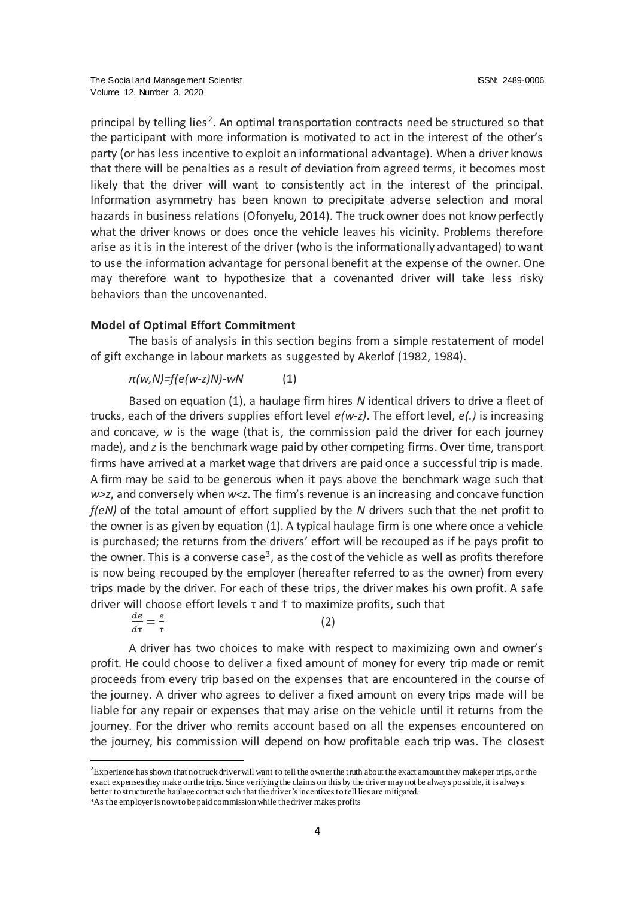principal by telling lies<sup>2</sup>. An optimal transportation contracts need be structured so that the participant with more information is motivated to act in the interest of the other's party (or has less incentive to exploit an informational advantage). When a driver knows that there will be penalties as a result of deviation from agreed terms, it becomes most likely that the driver will want to consistently act in the interest of the principal. Information asymmetry has been known to precipitate adverse selection and moral hazards in business relations (Ofonyelu, 2014). The truck owner does not know perfectly what the driver knows or does once the vehicle leaves his vicinity. Problems therefore arise as it is in the interest of the driver (who is the informationally advantaged) to want to use the information advantage for personal benefit at the expense of the owner. One may therefore want to hypothesize that a covenanted driver will take less risky behaviors than the uncovenanted.

## **Model of Optimal Effort Commitment**

The basis of analysis in this section begins from a simple restatement of model of gift exchange in labour markets as suggested by Akerlof (1982, 1984).

## *π(w,N)=f(e(w-z)N)-wN* (1)

Based on equation (1), a haulage firm hires *N* identical drivers to drive a fleet of trucks, each of the drivers supplies effort level *e(w-z)*. The effort level, *e(.)* is increasing and concave, *w* is the wage (that is, the commission paid the driver for each journey made), and *z* is the benchmark wage paid by other competing firms. Over time, transport firms have arrived at a market wage that drivers are paid once a successful trip is made. A firm may be said to be generous when it pays above the benchmark wage such that *w>z*, and conversely when *w<z*. The firm's revenue is an increasing and concave function *f(eN)* of the total amount of effort supplied by the *N* drivers such that the net profit to the owner is as given by equation (1). A typical haulage firm is one where once a vehicle is purchased; the returns from the drivers' effort will be recouped as if he pays profit to the owner. This is a converse case<sup>3</sup>, as the cost of the vehicle as well as profits therefore is now being recouped by the employer (hereafter referred to as the owner) from every trips made by the driver. For each of these trips, the driver makes his own profit. A safe driver will choose effort levels  $\tau$  and  $\tau$  to maximize profits, such that

$$
\frac{de}{d\tau} = \frac{e}{\tau} \tag{2}
$$

A driver has two choices to make with respect to maximizing own and owner's profit. He could choose to deliver a fixed amount of money for every trip made or remit proceeds from every trip based on the expenses that are encountered in the course of the journey. A driver who agrees to deliver a fixed amount on every trips made will be liable for any repair or expenses that may arise on the vehicle until it returns from the journey. For the driver who remits account based on all the expenses encountered on the journey, his commission will depend on how profitable each trip was. The closest

 $\overline{a}$ 

<sup>&</sup>lt;sup>2</sup>Experience has shown that no truck driver will want to tell the owner the truth about the exact amount they make per trips, or the exact expenses they make on the trips. Since verifying the claims on this by the driver may not be always possible, it is always better to structure the haulage contract such that the driver's incentives to tell lies are mitigated.

<sup>&</sup>lt;sup>3</sup>As the employer is now to be paid commission while the driver makes profits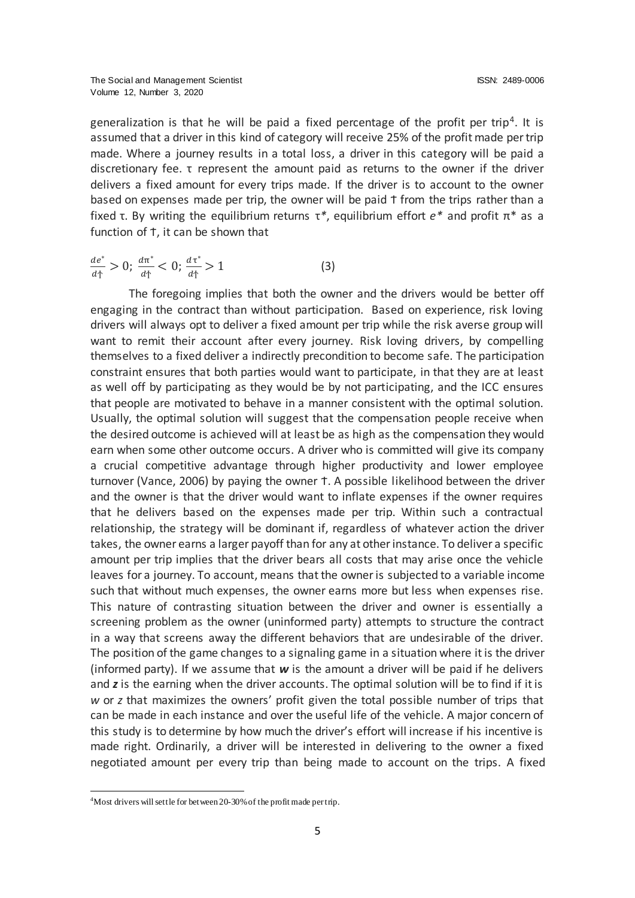generalization is that he will be paid a fixed percentage of the profit per trip<sup>4</sup>. It is assumed that a driver in this kind of category will receive 25% of the profit made per trip made. Where a journey results in a total loss, a driver in this category will be paid a discretionary fee. τ represent the amount paid as returns to the owner if the driver delivers a fixed amount for every trips made. If the driver is to account to the owner based on expenses made per trip, the owner will be paid  $\uparrow$  from the trips rather than a fixed τ. By writing the equilibrium returns τ*\**, equilibrium effort *e\** and profit π\* as a function of t, it can be shown that

$$
\frac{de^*}{d\tau} > 0; \frac{d\pi^*}{d\tau} < 0; \frac{d\tau^*}{d\tau} > 1
$$
 (3)

The foregoing implies that both the owner and the drivers would be better off engaging in the contract than without participation. Based on experience, risk loving drivers will always opt to deliver a fixed amount per trip while the risk averse group will want to remit their account after every journey. Risk loving drivers, by compelling themselves to a fixed deliver a indirectly precondition to become safe. The participation constraint ensures that both parties would want to participate, in that they are at least as well off by participating as they would be by not participating, and the ICC ensures that people are motivated to behave in a manner consistent with the optimal solution. Usually, the optimal solution will suggest that the compensation people receive when the desired outcome is achieved will at least be as high as the compensation they would earn when some other outcome occurs. A driver who is committed will give its company a crucial competitive advantage through higher productivity and lower employee turnover (Vance, 2006) by paying the owner Ϯ. A possible likelihood between the driver and the owner is that the driver would want to inflate expenses if the owner requires that he delivers based on the expenses made per trip. Within such a contractual relationship, the strategy will be dominant if, regardless of whatever action the driver takes, the owner earns a larger payoff than for any at other instance. To deliver a specific amount per trip implies that the driver bears all costs that may arise once the vehicle leaves for a journey. To account, means that the owner is subjected to a variable income such that without much expenses, the owner earns more but less when expenses rise. This nature of contrasting situation between the driver and owner is essentially a screening problem as the owner (uninformed party) attempts to structure the contract in a way that screens away the different behaviors that are undesirable of the driver. The position of the game changes to a signaling game in a situation where it is the driver (informed party). If we assume that *w* is the amount a driver will be paid if he delivers and *z* is the earning when the driver accounts. The optimal solution will be to find if it is *w* or *z* that maximizes the owners' profit given the total possible number of trips that can be made in each instance and over the useful life of the vehicle. A major concern of this study is to determine by how much the driver's effort will increase if his incentive is made right. Ordinarily, a driver will be interested in delivering to the owner a fixed negotiated amount per every trip than being made to account on the trips. A fixed

 $\overline{a}$ 

<sup>&</sup>lt;sup>4</sup>Most drivers will settle for between 20-30% of the profit made per trip.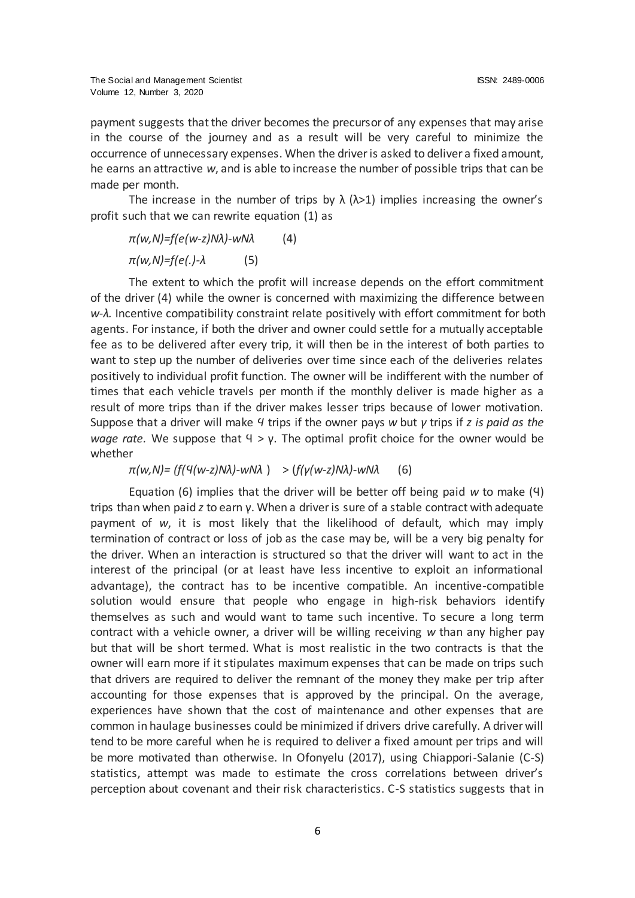payment suggests that the driver becomes the precursor of any expenses that may arise in the course of the journey and as a result will be very careful to minimize the occurrence of unnecessary expenses. When the driver is asked to deliver a fixed amount, he earns an attractive *w*, and is able to increase the number of possible trips that can be made per month.

The increase in the number of trips by  $\lambda$  ( $\lambda$ >1) implies increasing the owner's profit such that we can rewrite equation (1) as

*π(w,N)=f(e(w-z)Nλ)-wNλ* (4) *π(w,N)=f(e(.)-λ* (5)

The extent to which the profit will increase depends on the effort commitment of the driver (4) while the owner is concerned with maximizing the difference between *w-λ.* Incentive compatibility constraint relate positively with effort commitment for both agents. For instance, if both the driver and owner could settle for a mutually acceptable fee as to be delivered after every trip, it will then be in the interest of both parties to want to step up the number of deliveries over time since each of the deliveries relates positively to individual profit function. The owner will be indifferent with the number of times that each vehicle travels per month if the monthly deliver is made higher as a result of more trips than if the driver makes lesser trips because of lower motivation. Suppose that a driver will make *Ϥ* trips if the owner pays *w* but *γ* trips if *z is paid as the wage rate.* We suppose that Ϥ > γ. The optimal profit choice for the owner would be whether

*π(w,N)= (f(Ϥ(w-z)Nλ)-wNλ* ) > (*f(γ(w-z)Nλ)-wNλ* (6)

Equation (6) implies that the driver will be better off being paid *w* to make (Ϥ) trips than when paid *z* to earn γ. When a driver is sure of a stable contract with adequate payment of *w*, it is most likely that the likelihood of default, which may imply termination of contract or loss of job as the case may be, will be a very big penalty for the driver. When an interaction is structured so that the driver will want to act in the interest of the principal (or at least have less incentive to exploit an informational advantage), the contract has to be incentive compatible. An incentive-compatible solution would ensure that people who engage in high-risk behaviors identify themselves as such and would want to tame such incentive. To secure a long term contract with a vehicle owner, a driver will be willing receiving *w* than any higher pay but that will be short termed. What is most realistic in the two contracts is that the owner will earn more if it stipulates maximum expenses that can be made on trips such that drivers are required to deliver the remnant of the money they make per trip after accounting for those expenses that is approved by the principal. On the average, experiences have shown that the cost of maintenance and other expenses that are common in haulage businesses could be minimized if drivers drive carefully. A driver will tend to be more careful when he is required to deliver a fixed amount per trips and will be more motivated than otherwise. In Ofonyelu (2017), using Chiappori-Salanie (C-S) statistics, attempt was made to estimate the cross correlations between driver's perception about covenant and their risk characteristics. C-S statistics suggests that in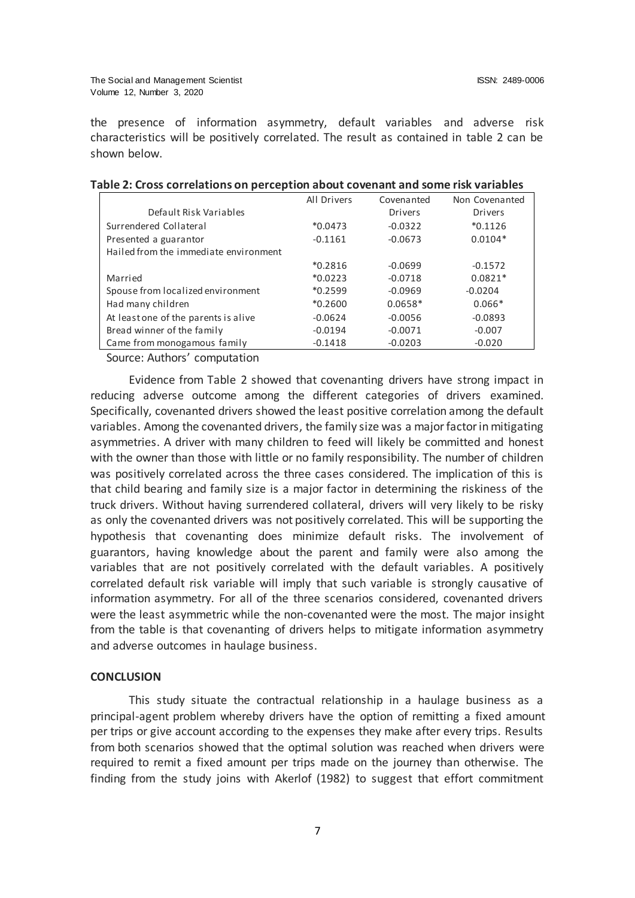the presence of information asymmetry, default variables and adverse risk characteristics will be positively correlated. The result as contained in table 2 can be shown below.

|                                       | All Drivers | Covenanted     | Non Covenanted |
|---------------------------------------|-------------|----------------|----------------|
| Default Risk Variables                |             | <b>Drivers</b> | <b>Drivers</b> |
| Surrendered Collateral                | $*0.0473$   | $-0.0322$      | $*0.1126$      |
| Presented a guarantor                 | $-0.1161$   | $-0.0673$      | $0.0104*$      |
| Hailed from the immediate environment |             |                |                |
|                                       | $*0.2816$   | $-0.0699$      | $-0.1572$      |
| Married                               | $*0.0223$   | $-0.0718$      | $0.0821*$      |
| Spouse from localized environment     | $*0.2599$   | $-0.0969$      | $-0.0204$      |
| Had many children                     | $*0.2600$   | $0.0658*$      | $0.066*$       |
| At least one of the parents is alive  | $-0.0624$   | $-0.0056$      | $-0.0893$      |
| Bread winner of the family            | $-0.0194$   | $-0.0071$      | $-0.007$       |
| Came from monogamous family           | $-0.1418$   | $-0.0203$      | $-0.020$       |

#### **Table 2: Cross correlations on perception about covenant and some risk variables**

Source: Authors' computation

Evidence from Table 2 showed that covenanting drivers have strong impact in reducing adverse outcome among the different categories of drivers examined. Specifically, covenanted drivers showed the least positive correlation among the default variables. Among the covenanted drivers, the family size was a major factor in mitigating asymmetries. A driver with many children to feed will likely be committed and honest with the owner than those with little or no family responsibility. The number of children was positively correlated across the three cases considered. The implication of this is that child bearing and family size is a major factor in determining the riskiness of the truck drivers. Without having surrendered collateral, drivers will very likely to be risky as only the covenanted drivers was not positively correlated. This will be supporting the hypothesis that covenanting does minimize default risks. The involvement of guarantors, having knowledge about the parent and family were also among the variables that are not positively correlated with the default variables. A positively correlated default risk variable will imply that such variable is strongly causative of information asymmetry. For all of the three scenarios considered, covenanted drivers were the least asymmetric while the non-covenanted were the most. The major insight from the table is that covenanting of drivers helps to mitigate information asymmetry and adverse outcomes in haulage business.

#### **CONCLUSION**

This study situate the contractual relationship in a haulage business as a principal-agent problem whereby drivers have the option of remitting a fixed amount per trips or give account according to the expenses they make after every trips. Results from both scenarios showed that the optimal solution was reached when drivers were required to remit a fixed amount per trips made on the journey than otherwise. The finding from the study joins with Akerlof (1982) to suggest that effort commitment